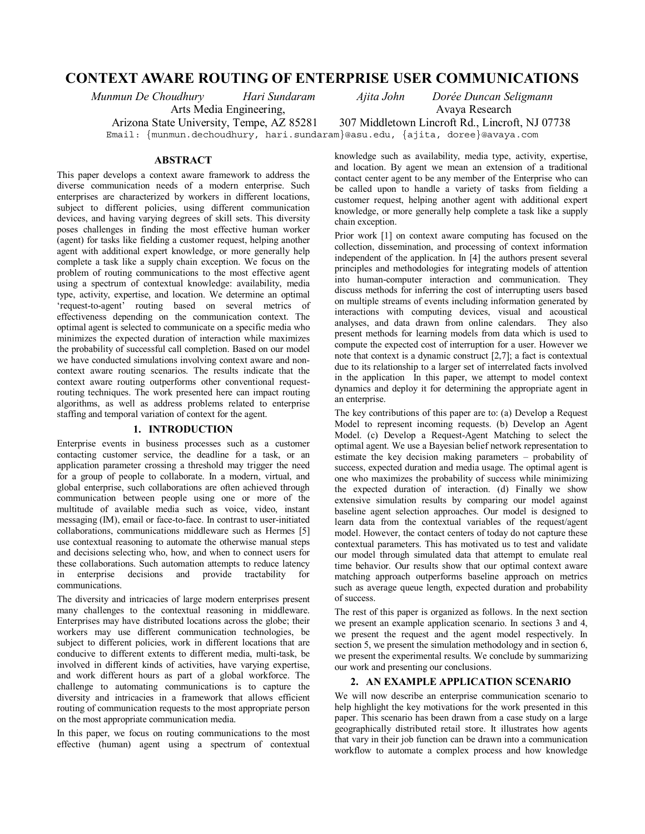# **CONTEXT AWARE ROUTING OF ENTERPRISE USER COMMUNICATIONS**

*Munmun De Choudhury Hari Sundaram Ajita John Dorée Duncan Seligmann*  Arts Media Engineering, Avaya Research

# **ABSTRACT**

This paper develops a context aware framework to address the diverse communication needs of a modern enterprise. Such enterprises are characterized by workers in different locations, subject to different policies, using different communication devices, and having varying degrees of skill sets. This diversity poses challenges in finding the most effective human worker (agent) for tasks like fielding a customer request, helping another agent with additional expert knowledge, or more generally help complete a task like a supply chain exception. We focus on the problem of routing communications to the most effective agent using a spectrum of contextual knowledge: availability, media type, activity, expertise, and location. We determine an optimal 'request-to-agent' routing based on several metrics of effectiveness depending on the communication context. The optimal agent is selected to communicate on a specific media who minimizes the expected duration of interaction while maximizes the probability of successful call completion. Based on our model we have conducted simulations involving context aware and noncontext aware routing scenarios. The results indicate that the context aware routing outperforms other conventional requestrouting techniques. The work presented here can impact routing algorithms, as well as address problems related to enterprise staffing and temporal variation of context for the agent.

# **1. INTRODUCTION**

Enterprise events in business processes such as a customer contacting customer service, the deadline for a task, or an application parameter crossing a threshold may trigger the need for a group of people to collaborate. In a modern, virtual, and global enterprise, such collaborations are often achieved through communication between people using one or more of the multitude of available media such as voice, video, instant messaging (IM), email or face-to-face. In contrast to user-initiated collaborations, communications middleware such as Hermes [5] use contextual reasoning to automate the otherwise manual steps and decisions selecting who, how, and when to connect users for these collaborations. Such automation attempts to reduce latency in enterprise decisions and provide tractability for communications.

The diversity and intricacies of large modern enterprises present many challenges to the contextual reasoning in middleware. Enterprises may have distributed locations across the globe; their workers may use different communication technologies, be subject to different policies, work in different locations that are conducive to different extents to different media, multi-task, be involved in different kinds of activities, have varying expertise, and work different hours as part of a global workforce. The challenge to automating communications is to capture the diversity and intricacies in a framework that allows efficient routing of communication requests to the most appropriate person on the most appropriate communication media.

In this paper, we focus on routing communications to the most effective (human) agent using a spectrum of contextual

Arizona State University, Tempe, AZ 85281 307 Middletown Lincroft Rd., Lincroft, NJ 07738

Email: {munmun.dechoudhury, hari.sundaram}@asu.edu, {ajita, doree}@avaya.com

knowledge such as availability, media type, activity, expertise, and location. By agent we mean an extension of a traditional contact center agent to be any member of the Enterprise who can be called upon to handle a variety of tasks from fielding a customer request, helping another agent with additional expert knowledge, or more generally help complete a task like a supply chain exception.

Prior work [1] on context aware computing has focused on the collection, dissemination, and processing of context information independent of the application. In [4] the authors present several principles and methodologies for integrating models of attention into human-computer interaction and communication. They discuss methods for inferring the cost of interrupting users based on multiple streams of events including information generated by interactions with computing devices, visual and acoustical analyses, and data drawn from online calendars. They also present methods for learning models from data which is used to compute the expected cost of interruption for a user. However we note that context is a dynamic construct [2,7]; a fact is contextual due to its relationship to a larger set of interrelated facts involved in the application In this paper, we attempt to model context dynamics and deploy it for determining the appropriate agent in an enterprise.

The key contributions of this paper are to: (a) Develop a Request Model to represent incoming requests. (b) Develop an Agent Model. (c) Develop a Request-Agent Matching to select the optimal agent. We use a Bayesian belief network representation to estimate the key decision making parameters – probability of success, expected duration and media usage. The optimal agent is one who maximizes the probability of success while minimizing the expected duration of interaction. (d) Finally we show extensive simulation results by comparing our model against baseline agent selection approaches. Our model is designed to learn data from the contextual variables of the request/agent model. However, the contact centers of today do not capture these contextual parameters. This has motivated us to test and validate our model through simulated data that attempt to emulate real time behavior. Our results show that our optimal context aware matching approach outperforms baseline approach on metrics such as average queue length, expected duration and probability of success.

The rest of this paper is organized as follows. In the next section we present an example application scenario. In sections 3 and 4, we present the request and the agent model respectively. In section 5, we present the simulation methodology and in section 6, we present the experimental results. We conclude by summarizing our work and presenting our conclusions.

# **2. AN EXAMPLE APPLICATION SCENARIO**

We will now describe an enterprise communication scenario to help highlight the key motivations for the work presented in this paper. This scenario has been drawn from a case study on a large geographically distributed retail store. It illustrates how agents that vary in their job function can be drawn into a communication workflow to automate a complex process and how knowledge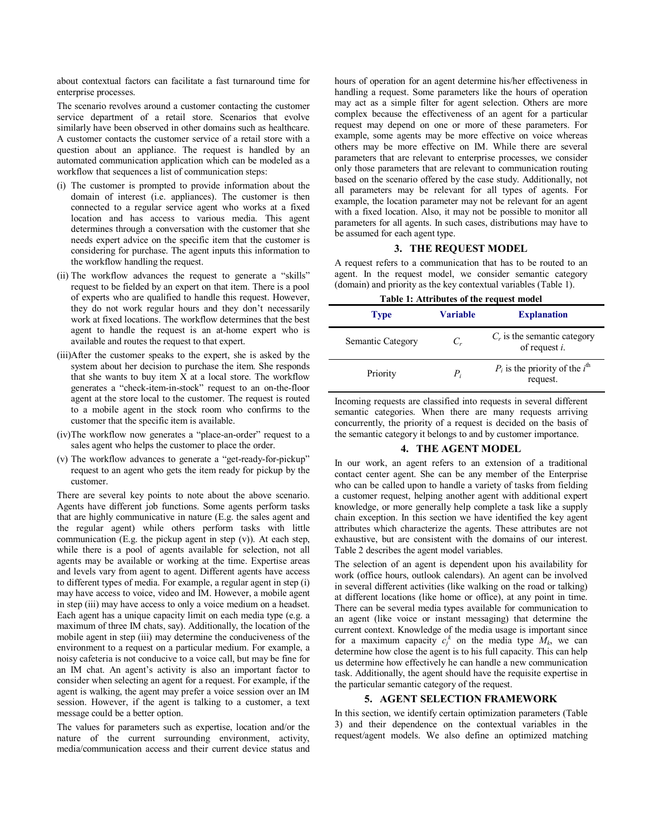about contextual factors can facilitate a fast turnaround time for enterprise processes.

The scenario revolves around a customer contacting the customer service department of a retail store. Scenarios that evolve similarly have been observed in other domains such as healthcare. A customer contacts the customer service of a retail store with a question about an appliance. The request is handled by an automated communication application which can be modeled as a workflow that sequences a list of communication steps:

- (i) The customer is prompted to provide information about the domain of interest (i.e. appliances). The customer is then connected to a regular service agent who works at a fixed location and has access to various media. This agent determines through a conversation with the customer that she needs expert advice on the specific item that the customer is considering for purchase. The agent inputs this information to the workflow handling the request.
- (ii) The workflow advances the request to generate a "skills" request to be fielded by an expert on that item. There is a pool of experts who are qualified to handle this request. However, they do not work regular hours and they don't necessarily work at fixed locations. The workflow determines that the best agent to handle the request is an at-home expert who is available and routes the request to that expert.
- (iii)After the customer speaks to the expert, she is asked by the system about her decision to purchase the item. She responds that she wants to buy item  $\overline{X}$  at a local store. The workflow generates a "check-item-in-stock" request to an on-the-floor agent at the store local to the customer. The request is routed to a mobile agent in the stock room who confirms to the customer that the specific item is available.
- (iv)The workflow now generates a "place-an-order" request to a sales agent who helps the customer to place the order.
- (v) The workflow advances to generate a "get-ready-for-pickup" request to an agent who gets the item ready for pickup by the customer.

There are several key points to note about the above scenario. Agents have different job functions. Some agents perform tasks that are highly communicative in nature (E.g. the sales agent and the regular agent) while others perform tasks with little communication (E.g. the pickup agent in step  $(v)$ ). At each step, while there is a pool of agents available for selection, not all agents may be available or working at the time. Expertise areas and levels vary from agent to agent. Different agents have access to different types of media. For example, a regular agent in step (i) may have access to voice, video and IM. However, a mobile agent in step (iii) may have access to only a voice medium on a headset. Each agent has a unique capacity limit on each media type (e.g. a maximum of three IM chats, say). Additionally, the location of the mobile agent in step (iii) may determine the conduciveness of the environment to a request on a particular medium. For example, a noisy cafeteria is not conducive to a voice call, but may be fine for an IM chat. An agent's activity is also an important factor to consider when selecting an agent for a request. For example, if the agent is walking, the agent may prefer a voice session over an IM session. However, if the agent is talking to a customer, a text message could be a better option.

The values for parameters such as expertise, location and/or the nature of the current surrounding environment, activity, media/communication access and their current device status and

hours of operation for an agent determine his/her effectiveness in handling a request. Some parameters like the hours of operation may act as a simple filter for agent selection. Others are more complex because the effectiveness of an agent for a particular request may depend on one or more of these parameters. For example, some agents may be more effective on voice whereas others may be more effective on IM. While there are several parameters that are relevant to enterprise processes, we consider only those parameters that are relevant to communication routing based on the scenario offered by the case study. Additionally, not all parameters may be relevant for all types of agents. For example, the location parameter may not be relevant for an agent with a fixed location. Also, it may not be possible to monitor all parameters for all agents. In such cases, distributions may have to be assumed for each agent type.

# **3. THE REQUEST MODEL**

A request refers to a communication that has to be routed to an agent. In the request model, we consider semantic category (domain) and priority as the key contextual variables (Table 1).

| Table 1: Attributes of the request model |  |
|------------------------------------------|--|
|------------------------------------------|--|

| <b>Type</b>       | Variable | <b>Explanation</b>                                       |
|-------------------|----------|----------------------------------------------------------|
| Semantic Category | $C_r$    | $C_r$ is the semantic category<br>of request $i$ .       |
| Priority          | $P_i$    | $P_i$ is the priority of the $i^{\text{th}}$<br>request. |

Incoming requests are classified into requests in several different semantic categories. When there are many requests arriving concurrently, the priority of a request is decided on the basis of the semantic category it belongs to and by customer importance.

### **4. THE AGENT MODEL**

In our work, an agent refers to an extension of a traditional contact center agent. She can be any member of the Enterprise who can be called upon to handle a variety of tasks from fielding a customer request, helping another agent with additional expert knowledge, or more generally help complete a task like a supply chain exception. In this section we have identified the key agent attributes which characterize the agents. These attributes are not exhaustive, but are consistent with the domains of our interest. Table 2 describes the agent model variables.

The selection of an agent is dependent upon his availability for work (office hours, outlook calendars). An agent can be involved in several different activities (like walking on the road or talking) at different locations (like home or office), at any point in time. There can be several media types available for communication to an agent (like voice or instant messaging) that determine the current context. Knowledge of the media usage is important since for a maximum capacity  $c_j^k$  on the media type  $M_k$ , we can determine how close the agent is to his full capacity. This can help us determine how effectively he can handle a new communication task. Additionally, the agent should have the requisite expertise in the particular semantic category of the request.

### **5. AGENT SELECTION FRAMEWORK**

In this section, we identify certain optimization parameters (Table 3) and their dependence on the contextual variables in the request/agent models. We also define an optimized matching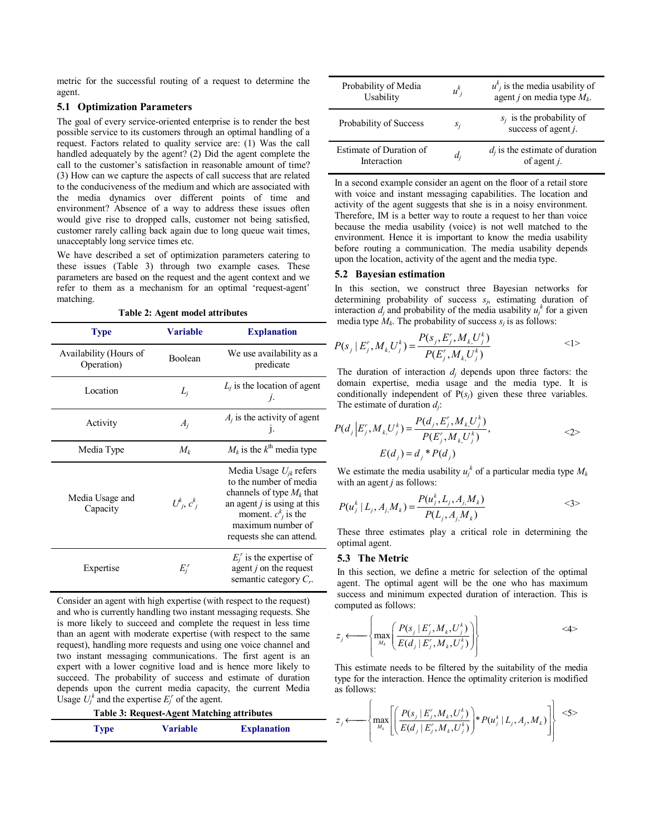metric for the successful routing of a request to determine the agent.

### **5.1 Optimization Parameters**

The goal of every service-oriented enterprise is to render the best possible service to its customers through an optimal handling of a request. Factors related to quality service are: (1) Was the call handled adequately by the agent? (2) Did the agent complete the call to the customer's satisfaction in reasonable amount of time? (3) How can we capture the aspects of call success that are related to the conduciveness of the medium and which are associated with the media dynamics over different points of time and environment? Absence of a way to address these issues often would give rise to dropped calls, customer not being satisfied, customer rarely calling back again due to long queue wait times, unacceptably long service times etc.

We have described a set of optimization parameters catering to these issues (Table 3) through two example cases. These parameters are based on the request and the agent context and we refer to them as a mechanism for an optimal 'request-agent' matching.

| Table 2: Agent model attributes |
|---------------------------------|
|---------------------------------|

| <b>Type</b>                          | <b>Variable</b>             | <b>Explanation</b>                                                                                                                                                                               |
|--------------------------------------|-----------------------------|--------------------------------------------------------------------------------------------------------------------------------------------------------------------------------------------------|
| Availability (Hours of<br>Operation) | Boolean                     | We use availability as a<br>predicate                                                                                                                                                            |
| Location                             | $L_i$                       | $L_i$ is the location of agent<br>$\mathcal{I}$ .                                                                                                                                                |
| Activity                             | $A_i$                       | $A_i$ is the activity of agent<br>$\mathbf{1}$                                                                                                                                                   |
| Media Type                           | $M_k$                       | $M_k$ is the $k^{\text{th}}$ media type                                                                                                                                                          |
| Media Usage and<br>Capacity          | $U^k_{\;\,j},\,c^k_{\;\,j}$ | Media Usage $U_{ik}$ refers<br>to the number of media<br>channels of type $M_k$ that<br>an agent $j$ is using at this<br>moment. $c^k_i$ is the<br>maximum number of<br>requests she can attend. |
| Expertise                            | $E_i^r$                     | $E_i^r$ is the expertise of<br>agent $j$ on the request<br>semantic category $C_r$ .                                                                                                             |

Consider an agent with high expertise (with respect to the request) and who is currently handling two instant messaging requests. She is more likely to succeed and complete the request in less time than an agent with moderate expertise (with respect to the same request), handling more requests and using one voice channel and two instant messaging communications. The first agent is an expert with a lower cognitive load and is hence more likely to succeed. The probability of success and estimate of duration depends upon the current media capacity, the current Media Usage  $U_j^k$  and the expertise  $E_j^r$  of the agent.

| <b>Table 3: Request-Agent Matching attributes</b> |             |                 |                    |
|---------------------------------------------------|-------------|-----------------|--------------------|
|                                                   | <b>Type</b> | <b>Variable</b> | <b>Explanation</b> |

| Probability of Media<br>Usability      | $u^k$ | $u_{i}^{k}$ is the media usability of<br>agent <i>j</i> on media type $M_k$ . |
|----------------------------------------|-------|-------------------------------------------------------------------------------|
| Probability of Success                 | $S_i$ | $s_i$ is the probability of<br>success of agent $j$ .                         |
| Estimate of Duration of<br>Interaction | $d_i$ | $d_i$ is the estimate of duration<br>of agent $i$ .                           |

In a second example consider an agent on the floor of a retail store with voice and instant messaging capabilities. The location and activity of the agent suggests that she is in a noisy environment. Therefore, IM is a better way to route a request to her than voice because the media usability (voice) is not well matched to the environment. Hence it is important to know the media usability before routing a communication. The media usability depends upon the location, activity of the agent and the media type.

#### **5.2 Bayesian estimation**

In this section, we construct three Bayesian networks for determining probability of success *sj*, estimating duration of interaction  $d_j$  and probability of the media usability  $u_j^k$  for a given media type  $M_k$ . The probability of success  $s_i$  is as follows:

$$
P(s_j \mid E_j^r, M_{k_i} U_j^k) = \frac{P(s_j, E_j^r, M_{k_i} U_j^k)}{P(E_j^r, M_{k_i} U_j^k)}
$$
  $\langle 1 \rangle$ 

The duration of interaction  $d_i$  depends upon three factors: the domain expertise, media usage and the media type. It is conditionally independent of  $P(s_i)$  given these three variables. The estimate of duration *dj*:

$$
P(d_j | E_j', M_k, U_j^k) = \frac{P(d_j, E_j', M_k, U_j^k)}{P(E_j', M_k, U_j^k)},
$$
  
 
$$
E(d_j) = d_j^* P(d_j)
$$
 (2)

We estimate the media usability  $u_i^k$  of a particular media type  $M_k$ with an agent *j* as follows:

$$
P(u_j^k | L_j, A_{j,1} M_k) = \frac{P(u_j^k, L_j, A_{j,1} M_k)}{P(L_j, A_{j,1} M_k)}
$$
  $\langle 3 \rangle$ 

These three estimates play a critical role in determining the optimal agent.

#### **5.3 The Metric**

In this section, we define a metric for selection of the optimal agent. The optimal agent will be the one who has maximum success and minimum expected duration of interaction. This is computed as follows:

$$
z_j \longleftarrow \left\{ \max_{M_k} \left( \frac{P(s_j \mid E'_j, M_k, U'_j)}{E(d_j \mid E'_j, M_k, U'_j)} \right) \right\}
$$

This estimate needs to be filtered by the suitability of the media type for the interaction. Hence the optimality criterion is modified as follows:

$$
z_j \longleftarrow \left\{ \max_{M_k} \left[ \left( \frac{P(s_j \mid E'_j, M_k, U'_j)}{E(d_j \mid E'_j, M_k, U'_j)} \right) * P(u_j^k \mid L_j, A_j, M_k) \right] \right\} \leq 5 >
$$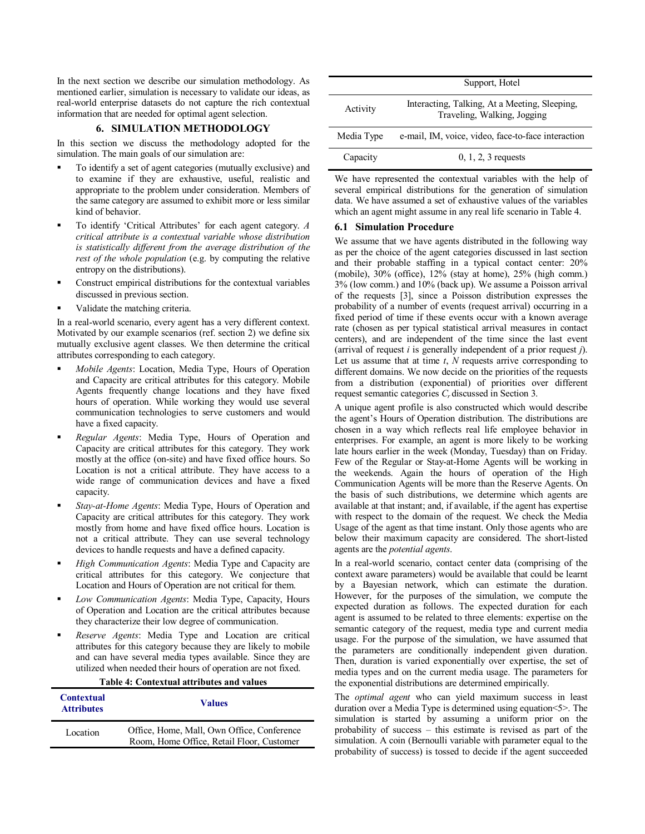In the next section we describe our simulation methodology. As mentioned earlier, simulation is necessary to validate our ideas, as real-world enterprise datasets do not capture the rich contextual information that are needed for optimal agent selection.

# **6. SIMULATION METHODOLOGY**

In this section we discuss the methodology adopted for the simulation. The main goals of our simulation are:

- To identify a set of agent categories (mutually exclusive) and to examine if they are exhaustive, useful, realistic and appropriate to the problem under consideration. Members of the same category are assumed to exhibit more or less similar kind of behavior.
- To identify 'Critical Attributes' for each agent category. *A critical attribute is a contextual variable whose distribution is statistically different from the average distribution of the rest of the whole population* (e.g. by computing the relative entropy on the distributions).
- Construct empirical distributions for the contextual variables discussed in previous section.
- Validate the matching criteria.

In a real-world scenario, every agent has a very different context. Motivated by our example scenarios (ref. section 2) we define six mutually exclusive agent classes. We then determine the critical attributes corresponding to each category.

- *Mobile Agents*: Location, Media Type, Hours of Operation and Capacity are critical attributes for this category. Mobile Agents frequently change locations and they have fixed hours of operation. While working they would use several communication technologies to serve customers and would have a fixed capacity.
- *Regular Agents*: Media Type, Hours of Operation and Capacity are critical attributes for this category. They work mostly at the office (on-site) and have fixed office hours. So Location is not a critical attribute. They have access to a wide range of communication devices and have a fixed capacity.
- *Stay-at-Home Agents*: Media Type, Hours of Operation and Capacity are critical attributes for this category. They work mostly from home and have fixed office hours. Location is not a critical attribute. They can use several technology devices to handle requests and have a defined capacity.
- *High Communication Agents*: Media Type and Capacity are critical attributes for this category. We conjecture that Location and Hours of Operation are not critical for them.
- *Low Communication Agents*: Media Type, Capacity, Hours of Operation and Location are the critical attributes because they characterize their low degree of communication.
- *Reserve Agents*: Media Type and Location are critical attributes for this category because they are likely to mobile and can have several media types available. Since they are utilized when needed their hours of operation are not fixed.

| Table 7. Contextual attributes and values |                                                                                         |
|-------------------------------------------|-----------------------------------------------------------------------------------------|
| <b>Contextual</b><br><b>Attributes</b>    | <b>Values</b>                                                                           |
| Location                                  | Office, Home, Mall, Own Office, Conference<br>Room, Home Office, Retail Floor, Customer |
|                                           |                                                                                         |

**Table 4: Contextual attributes and values** 

|            | Support, Hotel                                                               |
|------------|------------------------------------------------------------------------------|
| Activity   | Interacting, Talking, At a Meeting, Sleeping,<br>Traveling, Walking, Jogging |
| Media Type | e-mail, IM, voice, video, face-to-face interaction                           |
| Capacity   | $0, 1, 2, 3$ requests                                                        |

We have represented the contextual variables with the help of several empirical distributions for the generation of simulation data. We have assumed a set of exhaustive values of the variables which an agent might assume in any real life scenario in Table 4.

# **6.1 Simulation Procedure**

We assume that we have agents distributed in the following way as per the choice of the agent categories discussed in last section and their probable staffing in a typical contact center: 20% (mobile),  $30\%$  (office),  $12\%$  (stay at home),  $25\%$  (high comm.) 3% (low comm.) and 10% (back up). We assume a Poisson arrival of the requests [3], since a Poisson distribution expresses the probability of a number of events (request arrival) occurring in a fixed period of time if these events occur with a known average rate (chosen as per typical statistical arrival measures in contact centers), and are independent of the time since the last event (arrival of request *i* is generally independent of a prior request *j*). Let us assume that at time *t*, *N* requests arrive corresponding to different domains. We now decide on the priorities of the requests from a distribution (exponential) of priorities over different request semantic categories *Cr* discussed in Section 3.

A unique agent profile is also constructed which would describe the agent's Hours of Operation distribution. The distributions are chosen in a way which reflects real life employee behavior in enterprises. For example, an agent is more likely to be working late hours earlier in the week (Monday, Tuesday) than on Friday. Few of the Regular or Stay-at-Home Agents will be working in the weekends. Again the hours of operation of the High Communication Agents will be more than the Reserve Agents. On the basis of such distributions, we determine which agents are available at that instant; and, if available, if the agent has expertise with respect to the domain of the request. We check the Media Usage of the agent as that time instant. Only those agents who are below their maximum capacity are considered. The short-listed agents are the *potential agents*.

In a real-world scenario, contact center data (comprising of the context aware parameters) would be available that could be learnt by a Bayesian network, which can estimate the duration. However, for the purposes of the simulation, we compute the expected duration as follows. The expected duration for each agent is assumed to be related to three elements: expertise on the semantic category of the request, media type and current media usage. For the purpose of the simulation, we have assumed that the parameters are conditionally independent given duration. Then, duration is varied exponentially over expertise, the set of media types and on the current media usage. The parameters for the exponential distributions are determined empirically.

The *optimal agent* who can yield maximum success in least duration over a Media Type is determined using equation<5>. The simulation is started by assuming a uniform prior on the probability of success – this estimate is revised as part of the simulation. A coin (Bernoulli variable with parameter equal to the probability of success) is tossed to decide if the agent succeeded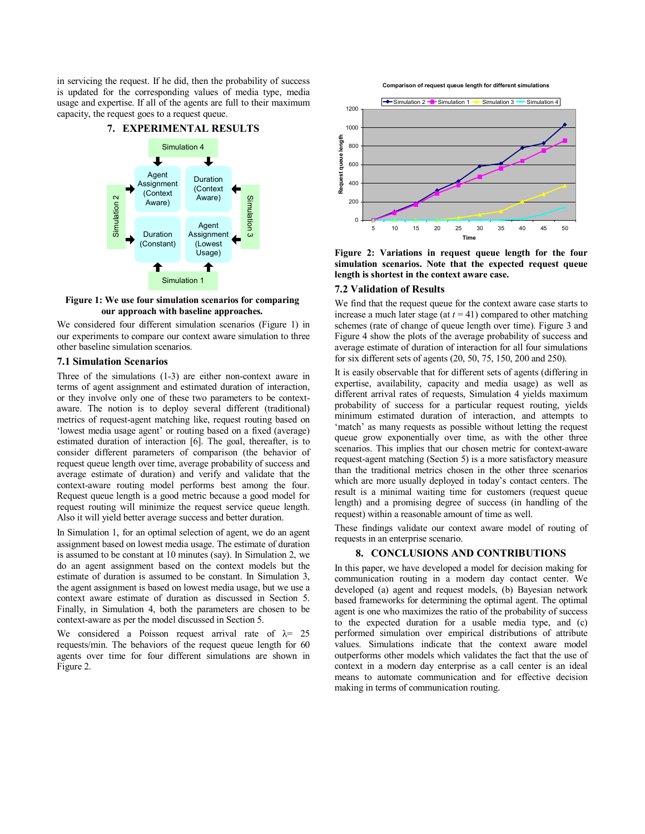in servicing the request. If he did, then the probability of success is updated for the corresponding values of media type, media usage and expertise. If all of the agents are full to their maximum capacity, the request goes to a request queue.





**Figure 1: We use four simulation scenarios for comparing our approach with baseline approaches.** 

We considered four different simulation scenarios (Figure 1) in our experiments to compare our context aware simulation to three other baseline simulation scenarios.

### **7.1 Simulation Scenarios**

Three of the simulations (1-3) are either non-context aware in terms of agent assignment and estimated duration of interaction, or they involve only one of these two parameters to be contextaware. The notion is to deploy several different (traditional) metrics of request-agent matching like, request routing based on 'lowest media usage agent' or routing based on a fixed (average) estimated duration of interaction [6]. The goal, thereafter, is to consider different parameters of comparison (the behavior of request queue length over time, average probability of success and average estimate of duration) and verify and validate that the context-aware routing model performs best among the four. Request queue length is a good metric because a good model for request routing will minimize the request service queue length. Also it will yield better average success and better duration.

In Simulation 1, for an optimal selection of agent, we do an agent assignment based on lowest media usage. The estimate of duration is assumed to be constant at 10 minutes (say). In Simulation 2, we do an agent assignment based on the context models but the estimate of duration is assumed to be constant. In Simulation 3, the agent assignment is based on lowest media usage, but we use a context aware estimate of duration as discussed in Section 5. Finally, in Simulation 4, both the parameters are chosen to be context-aware as per the model discussed in Section 5.

We considered a Poisson request arrival rate of  $\lambda$  = 25 requests/min. The behaviors of the request queue length for 60 agents over time for four different simulations are shown in Figure 2.





**Figure 2: Variations in request queue length for the four simulation scenarios. Note that the expected request queue length is shortest in the context aware case.** 

# **7.2 Validation of Results**

We find that the request queue for the context aware case starts to increase a much later stage (at  $t = 41$ ) compared to other matching schemes (rate of change of queue length over time). Figure 3 and Figure 4 show the plots of the average probability of success and average estimate of duration of interaction for all four simulations for six different sets of agents (20, 50, 75, 150, 200 and 250).

It is easily observable that for different sets of agents (differing in expertise, availability, capacity and media usage) as well as different arrival rates of requests, Simulation 4 yields maximum probability of success for a particular request routing, yields minimum estimated duration of interaction, and attempts to 'match' as many requests as possible without letting the request queue grow exponentially over time, as with the other three scenarios. This implies that our chosen metric for context-aware request-agent matching (Section 5) is a more satisfactory measure than the traditional metrics chosen in the other three scenarios which are more usually deployed in today's contact centers. The result is a minimal waiting time for customers (request queue length) and a promising degree of success (in handling of the request) within a reasonable amount of time as well.

These findings validate our context aware model of routing of requests in an enterprise scenario.

### **8. CONCLUSIONS AND CONTRIBUTIONS**

In this paper, we have developed a model for decision making for communication routing in a modern day contact center. We developed (a) agent and request models, (b) Bayesian network based frameworks for determining the optimal agent. The optimal agent is one who maximizes the ratio of the probability of success to the expected duration for a usable media type, and (c) performed simulation over empirical distributions of attribute values. Simulations indicate that the context aware model outperforms other models which validates the fact that the use of context in a modern day enterprise as a call center is an ideal means to automate communication and for effective decision making in terms of communication routing.